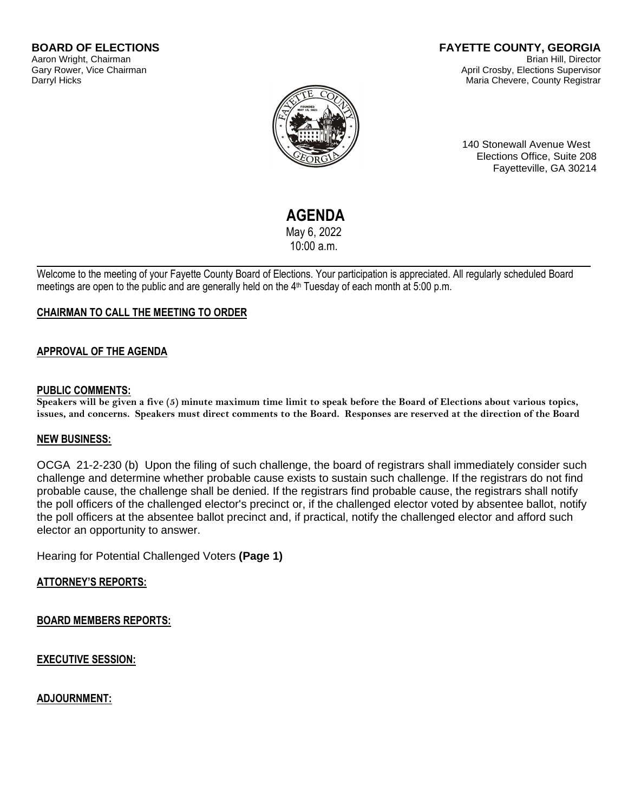#### **FAYETTE COUNTY, GEORGIA** Brian Hill, Director April Crosby, Elections Supervisor Maria Chevere, County Registrar



140 Stonewall Avenue West Elections Office, Suite 208 Fayetteville, GA 30214

# **AGENDA**

May 6, 2022 10:00 a.m.

Welcome to the meeting of your Fayette County Board of Elections. Your participation is appreciated. All regularly scheduled Board meetings are open to the public and are generally held on the 4<sup>th</sup> Tuesday of each month at 5:00 p.m.

# **CHAIRMAN TO CALL THE MEETING TO ORDER**

## **APPROVAL OF THE AGENDA**

#### **PUBLIC COMMENTS:**

**Speakers will be given a five (5) minute maximum time limit to speak before the Board of Elections about various topics, issues, and concerns. Speakers must direct comments to the Board. Responses are reserved at the direction of the Board**

#### **NEW BUSINESS:**

OCGA 21-2-230 (b) Upon the filing of such challenge, the board of registrars shall immediately consider such challenge and determine whether probable cause exists to sustain such challenge. If the registrars do not find probable cause, the challenge shall be denied. If the registrars find probable cause, the registrars shall notify the poll officers of the challenged elector's precinct or, if the challenged elector voted by absentee ballot, notify the poll officers at the absentee ballot precinct and, if practical, notify the challenged elector and afford such elector an opportunity to answer.

Hearing for Potential Challenged Voters **(Page 1)**

## **ATTORNEY'S REPORTS:**

**BOARD MEMBERS REPORTS:**

**EXECUTIVE SESSION:**

**ADJOURNMENT:**